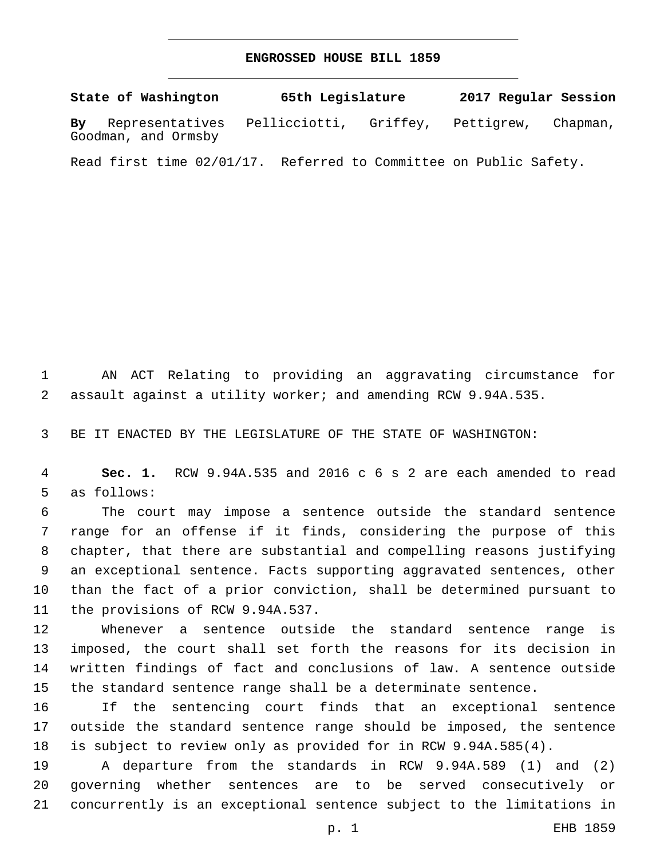## **ENGROSSED HOUSE BILL 1859**

**State of Washington 65th Legislature 2017 Regular Session By** Representatives Pellicciotti, Griffey, Pettigrew, Chapman, Goodman, and Ormsby

Read first time 02/01/17. Referred to Committee on Public Safety.

 AN ACT Relating to providing an aggravating circumstance for assault against a utility worker; and amending RCW 9.94A.535.

BE IT ENACTED BY THE LEGISLATURE OF THE STATE OF WASHINGTON:

 **Sec. 1.** RCW 9.94A.535 and 2016 c 6 s 2 are each amended to read 5 as follows:

 The court may impose a sentence outside the standard sentence range for an offense if it finds, considering the purpose of this chapter, that there are substantial and compelling reasons justifying an exceptional sentence. Facts supporting aggravated sentences, other than the fact of a prior conviction, shall be determined pursuant to 11 the provisions of RCW 9.94A.537.

 Whenever a sentence outside the standard sentence range is imposed, the court shall set forth the reasons for its decision in written findings of fact and conclusions of law. A sentence outside the standard sentence range shall be a determinate sentence.

 If the sentencing court finds that an exceptional sentence outside the standard sentence range should be imposed, the sentence is subject to review only as provided for in RCW 9.94A.585(4).

 A departure from the standards in RCW 9.94A.589 (1) and (2) governing whether sentences are to be served consecutively or concurrently is an exceptional sentence subject to the limitations in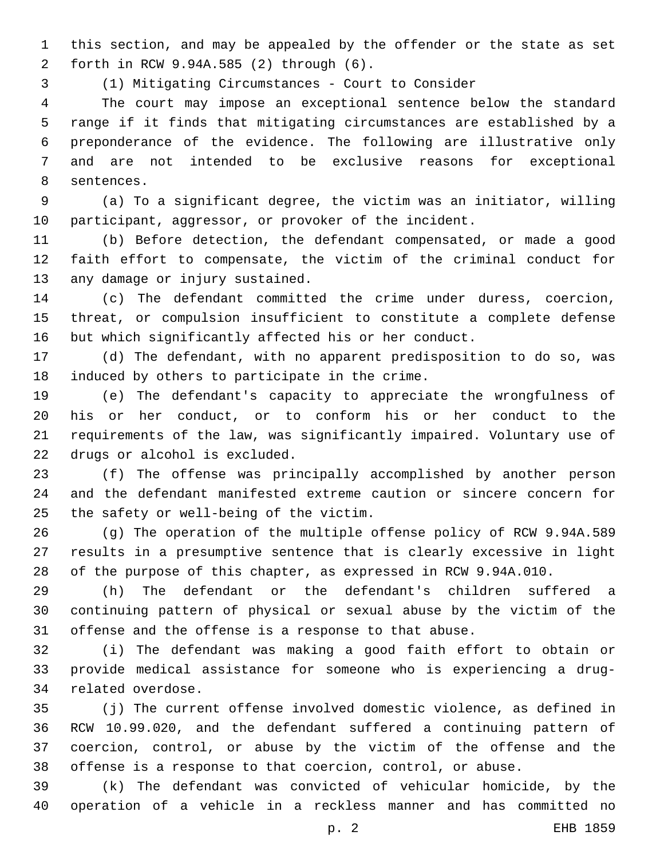this section, and may be appealed by the offender or the state as set forth in RCW 9.94A.585 (2) through (6).2

(1) Mitigating Circumstances - Court to Consider

 The court may impose an exceptional sentence below the standard range if it finds that mitigating circumstances are established by a preponderance of the evidence. The following are illustrative only and are not intended to be exclusive reasons for exceptional 8 sentences.

 (a) To a significant degree, the victim was an initiator, willing participant, aggressor, or provoker of the incident.

 (b) Before detection, the defendant compensated, or made a good faith effort to compensate, the victim of the criminal conduct for 13 any damage or injury sustained.

 (c) The defendant committed the crime under duress, coercion, threat, or compulsion insufficient to constitute a complete defense but which significantly affected his or her conduct.

 (d) The defendant, with no apparent predisposition to do so, was 18 induced by others to participate in the crime.

 (e) The defendant's capacity to appreciate the wrongfulness of his or her conduct, or to conform his or her conduct to the requirements of the law, was significantly impaired. Voluntary use of 22 drugs or alcohol is excluded.

 (f) The offense was principally accomplished by another person and the defendant manifested extreme caution or sincere concern for 25 the safety or well-being of the victim.

 (g) The operation of the multiple offense policy of RCW 9.94A.589 results in a presumptive sentence that is clearly excessive in light of the purpose of this chapter, as expressed in RCW 9.94A.010.

 (h) The defendant or the defendant's children suffered a continuing pattern of physical or sexual abuse by the victim of the offense and the offense is a response to that abuse.

 (i) The defendant was making a good faith effort to obtain or provide medical assistance for someone who is experiencing a drug-34 related overdose.

 (j) The current offense involved domestic violence, as defined in RCW 10.99.020, and the defendant suffered a continuing pattern of coercion, control, or abuse by the victim of the offense and the offense is a response to that coercion, control, or abuse.

 (k) The defendant was convicted of vehicular homicide, by the operation of a vehicle in a reckless manner and has committed no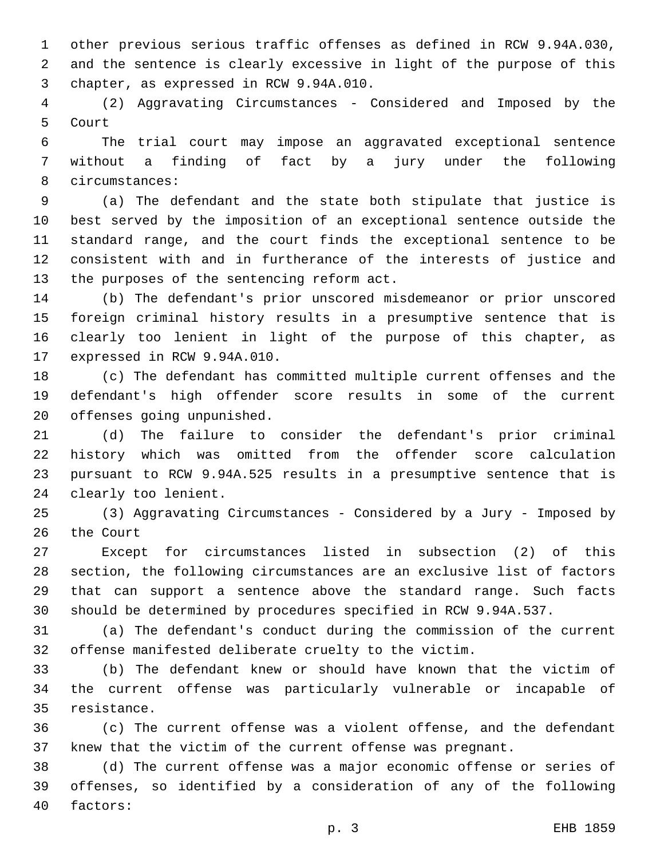other previous serious traffic offenses as defined in RCW 9.94A.030, and the sentence is clearly excessive in light of the purpose of this 3 chapter, as expressed in RCW 9.94A.010.

 (2) Aggravating Circumstances - Considered and Imposed by the 5 Court

 The trial court may impose an aggravated exceptional sentence without a finding of fact by a jury under the following 8 circumstances:

 (a) The defendant and the state both stipulate that justice is best served by the imposition of an exceptional sentence outside the standard range, and the court finds the exceptional sentence to be consistent with and in furtherance of the interests of justice and 13 the purposes of the sentencing reform act.

 (b) The defendant's prior unscored misdemeanor or prior unscored foreign criminal history results in a presumptive sentence that is clearly too lenient in light of the purpose of this chapter, as 17 expressed in RCW 9.94A.010.

 (c) The defendant has committed multiple current offenses and the defendant's high offender score results in some of the current 20 offenses going unpunished.

 (d) The failure to consider the defendant's prior criminal history which was omitted from the offender score calculation pursuant to RCW 9.94A.525 results in a presumptive sentence that is 24 clearly too lenient.

 (3) Aggravating Circumstances - Considered by a Jury - Imposed by 26 the Court

 Except for circumstances listed in subsection (2) of this section, the following circumstances are an exclusive list of factors that can support a sentence above the standard range. Such facts should be determined by procedures specified in RCW 9.94A.537.

 (a) The defendant's conduct during the commission of the current offense manifested deliberate cruelty to the victim.

 (b) The defendant knew or should have known that the victim of the current offense was particularly vulnerable or incapable of 35 resistance.

 (c) The current offense was a violent offense, and the defendant knew that the victim of the current offense was pregnant.

 (d) The current offense was a major economic offense or series of offenses, so identified by a consideration of any of the following 40 factors: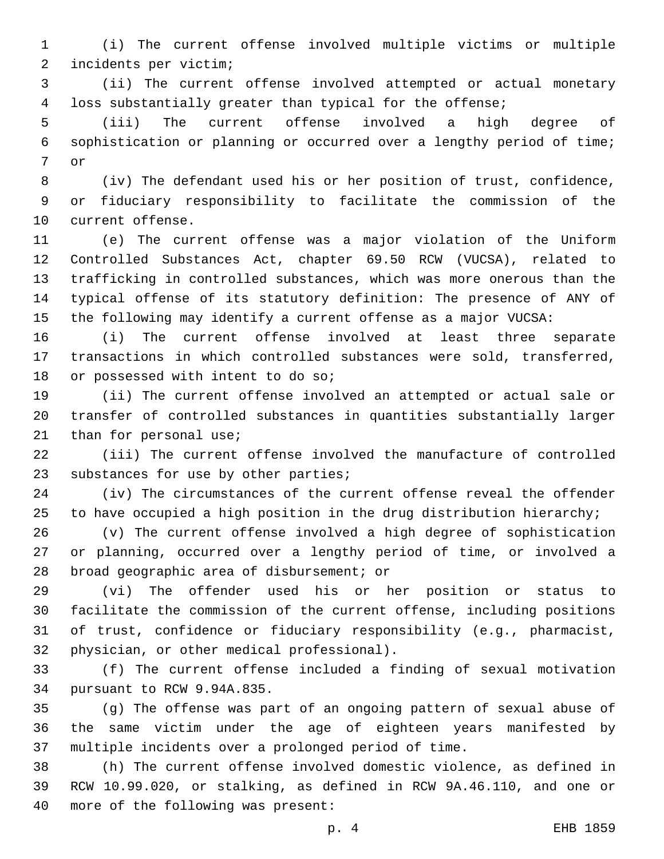(i) The current offense involved multiple victims or multiple incidents per victim;2

 (ii) The current offense involved attempted or actual monetary loss substantially greater than typical for the offense;

 (iii) The current offense involved a high degree of sophistication or planning or occurred over a lengthy period of time; 7 or

 (iv) The defendant used his or her position of trust, confidence, or fiduciary responsibility to facilitate the commission of the 10 current offense.

 (e) The current offense was a major violation of the Uniform Controlled Substances Act, chapter 69.50 RCW (VUCSA), related to trafficking in controlled substances, which was more onerous than the typical offense of its statutory definition: The presence of ANY of the following may identify a current offense as a major VUCSA:

 (i) The current offense involved at least three separate transactions in which controlled substances were sold, transferred, 18 or possessed with intent to do so;

 (ii) The current offense involved an attempted or actual sale or transfer of controlled substances in quantities substantially larger 21 than for personal use;

 (iii) The current offense involved the manufacture of controlled 23 substances for use by other parties;

 (iv) The circumstances of the current offense reveal the offender 25 to have occupied a high position in the drug distribution hierarchy;

 (v) The current offense involved a high degree of sophistication or planning, occurred over a lengthy period of time, or involved a 28 broad geographic area of disbursement; or

 (vi) The offender used his or her position or status to facilitate the commission of the current offense, including positions of trust, confidence or fiduciary responsibility (e.g., pharmacist, 32 physician, or other medical professional).

 (f) The current offense included a finding of sexual motivation 34 pursuant to RCW 9.94A.835.

 (g) The offense was part of an ongoing pattern of sexual abuse of the same victim under the age of eighteen years manifested by multiple incidents over a prolonged period of time.

 (h) The current offense involved domestic violence, as defined in RCW 10.99.020, or stalking, as defined in RCW 9A.46.110, and one or 40 more of the following was present: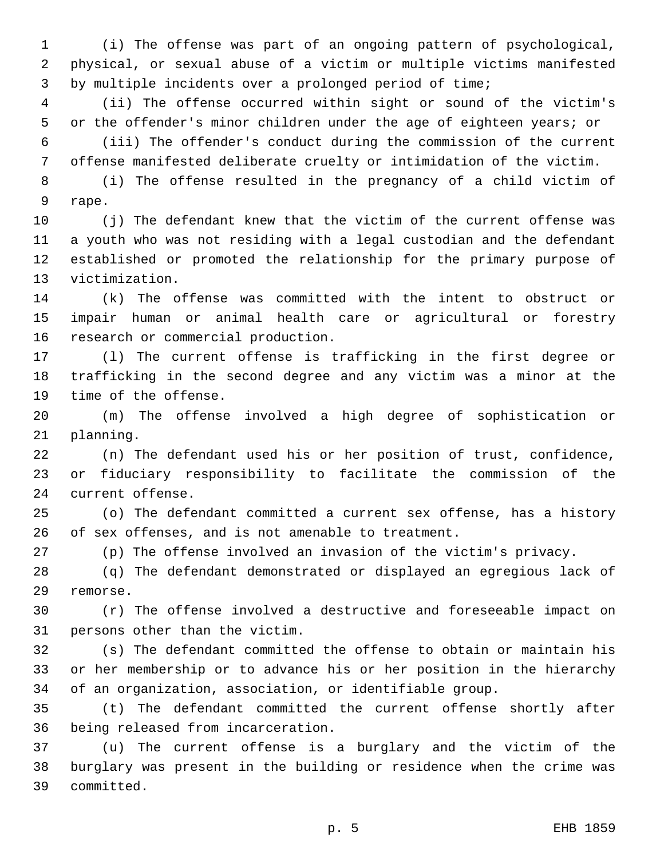(i) The offense was part of an ongoing pattern of psychological, physical, or sexual abuse of a victim or multiple victims manifested by multiple incidents over a prolonged period of time;

 (ii) The offense occurred within sight or sound of the victim's or the offender's minor children under the age of eighteen years; or

 (iii) The offender's conduct during the commission of the current offense manifested deliberate cruelty or intimidation of the victim.

 (i) The offense resulted in the pregnancy of a child victim of 9 rape.

 (j) The defendant knew that the victim of the current offense was a youth who was not residing with a legal custodian and the defendant established or promoted the relationship for the primary purpose of 13 victimization.

 (k) The offense was committed with the intent to obstruct or impair human or animal health care or agricultural or forestry 16 research or commercial production.

 (l) The current offense is trafficking in the first degree or trafficking in the second degree and any victim was a minor at the 19 time of the offense.

 (m) The offense involved a high degree of sophistication or 21 planning.

 (n) The defendant used his or her position of trust, confidence, or fiduciary responsibility to facilitate the commission of the 24 current offense.

 (o) The defendant committed a current sex offense, has a history of sex offenses, and is not amenable to treatment.

(p) The offense involved an invasion of the victim's privacy.

 (q) The defendant demonstrated or displayed an egregious lack of 29 remorse.

 (r) The offense involved a destructive and foreseeable impact on 31 persons other than the victim.

 (s) The defendant committed the offense to obtain or maintain his or her membership or to advance his or her position in the hierarchy of an organization, association, or identifiable group.

 (t) The defendant committed the current offense shortly after 36 being released from incarceration.

 (u) The current offense is a burglary and the victim of the burglary was present in the building or residence when the crime was 39 committed.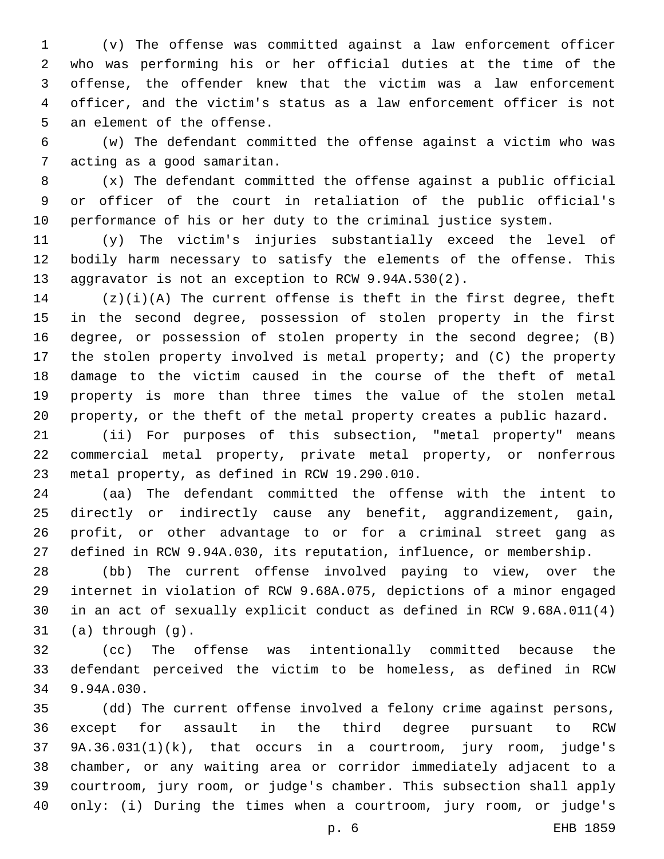(v) The offense was committed against a law enforcement officer who was performing his or her official duties at the time of the offense, the offender knew that the victim was a law enforcement officer, and the victim's status as a law enforcement officer is not 5 an element of the offense.

 (w) The defendant committed the offense against a victim who was 7 acting as a good samaritan.

 (x) The defendant committed the offense against a public official or officer of the court in retaliation of the public official's performance of his or her duty to the criminal justice system.

 (y) The victim's injuries substantially exceed the level of bodily harm necessary to satisfy the elements of the offense. This aggravator is not an exception to RCW 9.94A.530(2).

 (z)(i)(A) The current offense is theft in the first degree, theft in the second degree, possession of stolen property in the first degree, or possession of stolen property in the second degree; (B) the stolen property involved is metal property; and (C) the property damage to the victim caused in the course of the theft of metal property is more than three times the value of the stolen metal property, or the theft of the metal property creates a public hazard.

 (ii) For purposes of this subsection, "metal property" means commercial metal property, private metal property, or nonferrous 23 metal property, as defined in RCW 19.290.010.

 (aa) The defendant committed the offense with the intent to directly or indirectly cause any benefit, aggrandizement, gain, profit, or other advantage to or for a criminal street gang as defined in RCW 9.94A.030, its reputation, influence, or membership.

 (bb) The current offense involved paying to view, over the internet in violation of RCW 9.68A.075, depictions of a minor engaged in an act of sexually explicit conduct as defined in RCW 9.68A.011(4) (a) through  $(g)$ .

 (cc) The offense was intentionally committed because the defendant perceived the victim to be homeless, as defined in RCW 34 9.94A.030.

 (dd) The current offense involved a felony crime against persons, except for assault in the third degree pursuant to RCW 9A.36.031(1)(k), that occurs in a courtroom, jury room, judge's chamber, or any waiting area or corridor immediately adjacent to a courtroom, jury room, or judge's chamber. This subsection shall apply only: (i) During the times when a courtroom, jury room, or judge's